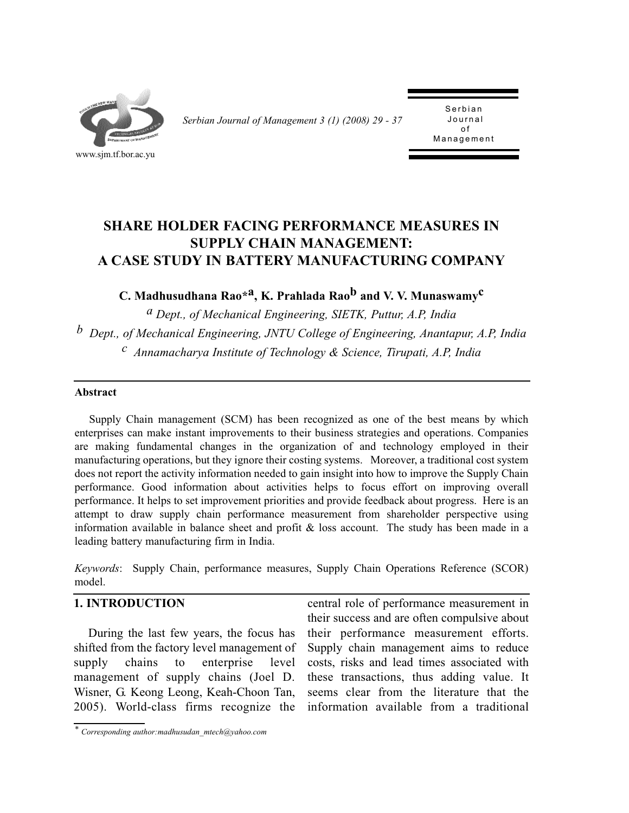

*Serbian Journal of Management 3 (1) (2008) 29 - 37* 

Serbian<br>Journal of Management Management

# **SHARE HOLDER FACING PERFORMANCE MEASURES IN SUPPLY CHAIN MANAGEMENT: A CASE STUDY IN BATTERY MANUFACTURING COMPANY**

**C. Madhusudhana Rao\*a, K. Prahlada Raob and V. V. Munaswamyc**

*a Dept., of Mechanical Engineering, SIETK, Puttur, A.P, India b Dept., of Mechanical Engineering, JNTU College of Engineering, Anantapur, A.P, India c Annamacharya Institute of Technology & Science, Tirupati, A.P, India*

### **Abstract**

Supply Chain management (SCM) has been recognized as one of the best means by which enterprises can make instant improvements to their business strategies and operations. Companies are making fundamental changes in the organization of and technology employed in their manufacturing operations, but they ignore their costing systems. Moreover, a traditional cost system does not report the activity information needed to gain insight into how to improve the Supply Chain performance. Good information about activities helps to focus effort on improving overall performance. It helps to set improvement priorities and provide feedback about progress. Here is an attempt to draw supply chain performance measurement from shareholder perspective using information available in balance sheet and profit  $\&$  loss account. The study has been made in a leading battery manufacturing firm in India.

*Keywords*: Supply Chain, performance measures, Supply Chain Operations Reference (SCOR) model.

### **1. INTRODUCTION**

During the last few years, the focus has shifted from the factory level management of supply chains to enterprise level management of supply chains (Joel D. Wisner, G. Keong Leong, Keah-Choon Tan, 2005). World-class firms recognize the

central role of performance measurement in their success and are often compulsive about their performance measurement efforts. Supply chain management aims to reduce costs, risks and lead times associated with these transactions, thus adding value. It seems clear from the literature that the information available from a traditional

*<sup>\*</sup> Corresponding author:madhusudan\_mtech@yahoo.com*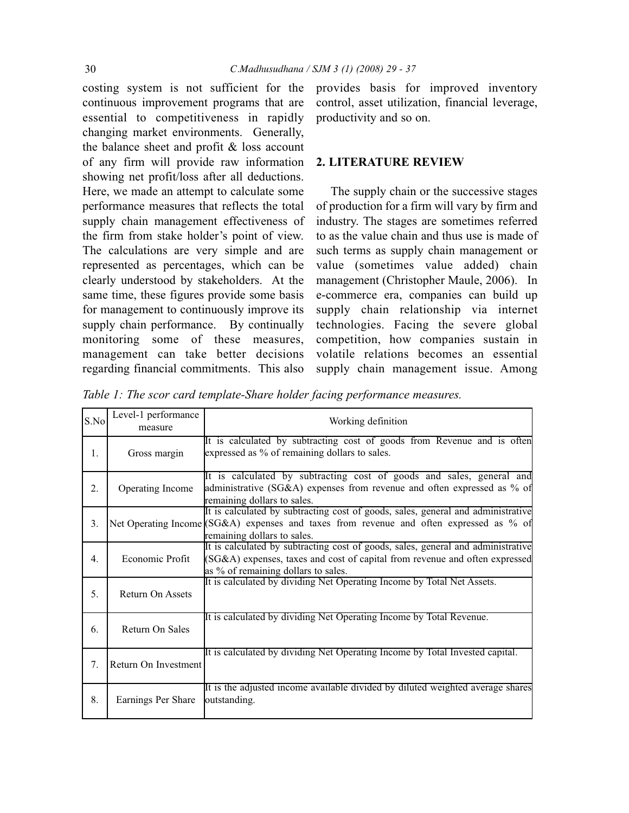costing system is not sufficient for the continuous improvement programs that are essential to competitiveness in rapidly changing market environments. Generally, the balance sheet and profit & loss account of any firm will provide raw information showing net profit/loss after all deductions. Here, we made an attempt to calculate some performance measures that reflects the total supply chain management effectiveness of the firm from stake holder's point of view. The calculations are very simple and are represented as percentages, which can be clearly understood by stakeholders. At the same time, these figures provide some basis for management to continuously improve its supply chain performance. By continually monitoring some of these measures, management can take better decisions regarding financial commitments. This also

provides basis for improved inventory control, asset utilization, financial leverage, productivity and so on.

#### **2. LITERATURE REVIEW**

The supply chain or the successive stages of production for a firm will vary by firm and industry. The stages are sometimes referred to as the value chain and thus use is made of such terms as supply chain management or value (sometimes value added) chain management (Christopher Maule, 2006). In e-commerce era, companies can build up supply chain relationship via internet technologies. Facing the severe global competition, how companies sustain in volatile relations becomes an essential supply chain management issue. Among

*Table 1: The scor card template-Share holder facing performance measures.*

| S.No | Level-1 performance<br>measure | Working definition                                                                                                                                                                                         |
|------|--------------------------------|------------------------------------------------------------------------------------------------------------------------------------------------------------------------------------------------------------|
| 1.   | Gross margin                   | It is calculated by subtracting cost of goods from Revenue and is often<br>expressed as % of remaining dollars to sales.                                                                                   |
| 2.   | Operating Income               | It is calculated by subtracting cost of goods and sales, general and<br>administrative (SG&A) expenses from revenue and often expressed as % of<br>remaining dollars to sales.                             |
| 3.   |                                | It is calculated by subtracting cost of goods, sales, general and administrative<br>Net Operating Income (SG&A) expenses and taxes from revenue and often expressed as % of<br>remaining dollars to sales. |
| 4.   | Economic Profit                | It is calculated by subtracting cost of goods, sales, general and administrative<br>(SG&A) expenses, taxes and cost of capital from revenue and often expressed<br>as % of remaining dollars to sales.     |
| 5.   | Return On Assets               | It is calculated by dividing Net Operating Income by Total Net Assets.                                                                                                                                     |
| 6.   | Return On Sales                | It is calculated by dividing Net Operating Income by Total Revenue.                                                                                                                                        |
| 7.   | Return On Investment           | It is calculated by dividing Net Operating Income by Total Invested capital.                                                                                                                               |
| 8.   | Earnings Per Share             | It is the adjusted income available divided by diluted weighted average shares<br>outstanding.                                                                                                             |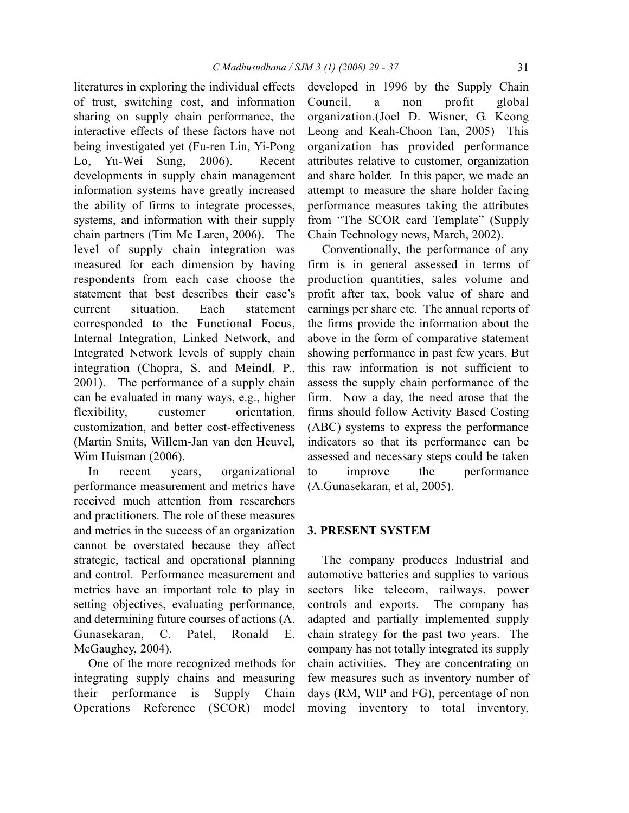literatures in exploring the individual effects of trust, switching cost, and information sharing on supply chain performance, the interactive effects of these factors have not being investigated yet (Fu-ren Lin, Yi-Pong Lo, Yu-Wei Sung, 2006). Recent developments in supply chain management information systems have greatly increased the ability of firms to integrate processes, systems, and information with their supply chain partners (Tim Mc Laren, 2006). The level of supply chain integration was measured for each dimension by having respondents from each case choose the statement that best describes their case's current situation. Each statement corresponded to the Functional Focus, Internal Integration, Linked Network, and Integrated Network levels of supply chain integration (Chopra, S. and Meindl, P., 2001). The performance of a supply chain can be evaluated in many ways, e.g., higher flexibility, customer orientation, customization, and better cost-effectiveness (Martin Smits, Willem-Jan van den Heuvel, Wim Huisman (2006).

In recent years, organizational performance measurement and metrics have received much attention from researchers and practitioners. The role of these measures and metrics in the success of an organization cannot be overstated because they affect strategic, tactical and operational planning and control. Performance measurement and metrics have an important role to play in setting objectives, evaluating performance, and determining future courses of actions (A. Gunasekaran, C. Patel, Ronald E. McGaughey, 2004).

One of the more recognized methods for integrating supply chains and measuring their performance is Supply Chain Operations Reference (SCOR) model

developed in 1996 by the Supply Chain Council, a non profit global organization.(Joel D. Wisner, G. Keong Leong and Keah-Choon Tan, 2005) This organization has provided performance attributes relative to customer, organization and share holder. In this paper, we made an attempt to measure the share holder facing performance measures taking the attributes from "The SCOR card Template" (Supply Chain Technology news, March, 2002).

Conventionally, the performance of any firm is in general assessed in terms of production quantities, sales volume and profit after tax, book value of share and earnings per share etc. The annual reports of the firms provide the information about the above in the form of comparative statement showing performance in past few years. But this raw information is not sufficient to assess the supply chain performance of the firm. Now a day, the need arose that the firms should follow Activity Based Costing (ABC) systems to express the performance indicators so that its performance can be assessed and necessary steps could be taken to improve the performance (A.Gunasekaran, et al, 2005).

### **3. PRESENT SYSTEM**

The company produces Industrial and automotive batteries and supplies to various sectors like telecom, railways, power controls and exports. The company has adapted and partially implemented supply chain strategy for the past two years. The company has not totally integrated its supply chain activities. They are concentrating on few measures such as inventory number of days (RM, WIP and FG), percentage of non moving inventory to total inventory,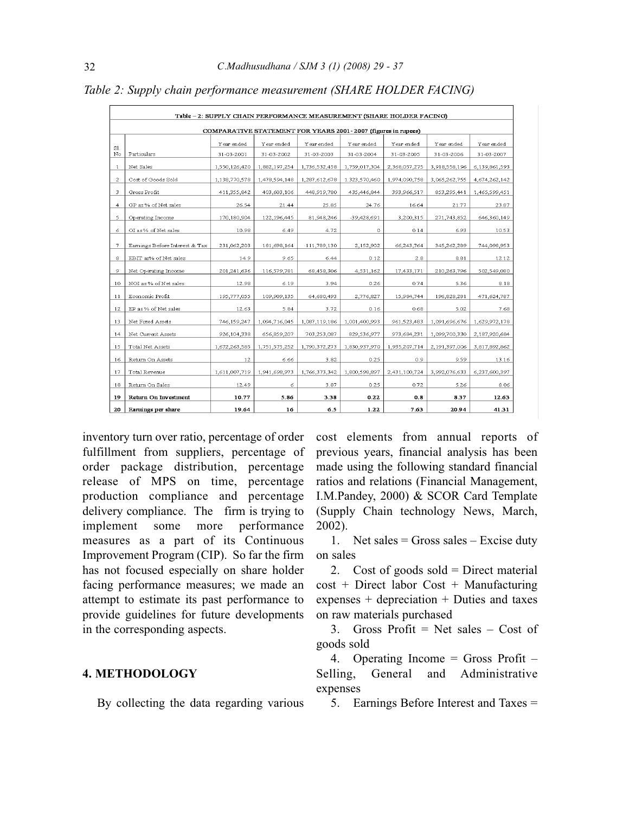| Table - 2: SUPPLY CHAIN PERFORMANCE MEASUREMENT (SHARE HOLDER FACING) |                                |               |               |               |               |               |                  |                  |
|-----------------------------------------------------------------------|--------------------------------|---------------|---------------|---------------|---------------|---------------|------------------|------------------|
| COMPARATIVE STATEMENT FOR YEARS 2001 - 2007 (figures in rupees)       |                                |               |               |               |               |               |                  |                  |
|                                                                       |                                | Year ended    | Year ended    | Y ear ended   | Y ear ended   | Year ended    | Year ended       | Year ended       |
| S1<br>No                                                              | Particulars                    | 31-03-2001    | 31-03-2002    | 31-03-2003    | 31-03-2004    | 31-03-2005    | 31-03-2006       | 31-03-2007       |
| $\mathbf{1}$                                                          | Net Sales                      | 1,550,126,420 | 1,882,197,254 | 1,736,532,458 | 1,759,017,304 | 2,368,057,275 | 3,918,558,196    | 6, 139, 861, 593 |
| $\mathbf{z}$                                                          | Cost of Goods Sold             | 1,138,770,578 | 1,478,594,148 | 1,287,612,678 | 1.323,570,460 | 1,974,090,758 | 3,065,262,755    | 4,674,262,142    |
| 3                                                                     | Gross Profit                   | 411,355,842   | 403,603,106   | 448,919,780   | 435,446,844   | 393,966,517   | 853, 295, 441    | 1,465,599,451    |
| $\overline{4}$                                                        | GP as % of Net sales           | 26.54         | 21.44         | 25.85         | 24.76         | 16.64         | 21.77            | 23.87            |
| 5                                                                     | Operating Income               | 170,180,904   | 122,196,445   | 81,948,246    | -39,428,691   | 3,200,315     | 271,743,852      | 646,360,149      |
| 6                                                                     | OI as % of Net sales           | 10.98         | 6.49          | 4.72          | $\circ$       | 0.14          | 6.93             | 10.53            |
| $\overline{7}$                                                        | Earnings Before Interest & Tax | 231,062,203   | 181,698,164   | 111,789,130   | 2,152,902     | 66,243,764    | 345,262,289      | 744,098,953      |
| 8                                                                     | EBIT as% of Net sales          | 14.9          | 9.65          | 6.44          | 0.12          | 2.8           | 8.81             | 12.12            |
| $\mathcal{P}$                                                         | Net Operating Income           | 201,241,636   | 116,579,781   | 68,458,306    | 4,531,162     | 17,433,171    | 210,263,796      | 502,549,080      |
| 10                                                                    | NOI as % of Net sales          | 12.98         | 6.19          | 3.94          | 0.26          | 0.74          | 5.36             | 8.18             |
| 11                                                                    | Economic Profit                | 195,777,055   | 109,909,135   | 64,680,493    | 2,776,827     | 15,984,744    | 196,828,281      | 471,624,787      |
| 12                                                                    | EP as % of Net sales           | 12.63         | 5.84          | 3.72          | 0.16          | 0.68          | 5.02             | 7.68             |
| 13                                                                    | Net Fixed Assets               | 746,159,247   | 1,094,716,045 | 1,087,119,186 | 1,001,400,993 | 961, 523, 483 | 1,091,696,676    | 1,629,972,178    |
| 14                                                                    | Net Current Assets             | 926,104,338   | 656,859,207   | 703,253,087   | 829,536,977   | 973,684,231   | 1,099,700,330    | 2,187,920,684    |
| 15                                                                    | Total Net Assets               | 1,672,263,585 | 1,751,575,252 | 1,790,372,273 | 1,830,937,970 | 1,935,207,714 | 2, 191, 397, 006 | 3,817,892,862    |
| 16                                                                    | Return On Assets               | 12            | 6.66          | 3.82          | 0.25          | 0.9           | 9.59             | 13.16            |
| 17                                                                    | Total Revenue                  | 1,611,007,719 | 1,941,698,973 | 1,766,373,342 | 1,800,598,897 | 2,431,100,724 | 3,992,076,633    | 6,237,600,397    |
| 18                                                                    | Return On Sales                | 12.49         | 6             | 3.87          | 0.25          | 0.72          | 5.26             | 8.06             |
| 19                                                                    | Return On Investment           | 10.77         | 5.86          | 3.38          | 0.22          | 0.8           | 8.37             | 12.63            |
| 20                                                                    | Earnings per share             | 19.64         | 16            | 6.5           | 1.22          | 7.63          | 20.94            | 41.31            |

*Table 2: Supply chain performance measurement (SHARE HOLDER FACING)*

inventory turn over ratio, percentage of order fulfillment from suppliers, percentage of order package distribution, percentage release of MPS on time, percentage production compliance and percentage delivery compliance. The firm is trying to implement some more performance measures as a part of its Continuous Improvement Program (CIP). So far the firm has not focused especially on share holder facing performance measures; we made an attempt to estimate its past performance to provide guidelines for future developments in the corresponding aspects.

### **4. METHODOLOGY**

By collecting the data regarding various

cost elements from annual reports of previous years, financial analysis has been made using the following standard financial ratios and relations (Financial Management, I.M.Pandey, 2000) & SCOR Card Template (Supply Chain technology News, March, 2002).

1. Net sales = Gross sales – Excise duty on sales

2. Cost of goods sold  $=$  Direct material cost + Direct labor Cost + Manufacturing expenses + depreciation + Duties and taxes on raw materials purchased

3. Gross Profit  $=$  Net sales  $-$  Cost of goods sold

4. Operating Income = Gross Profit – Selling, General and Administrative expenses

5. Earnings Before Interest and Taxes =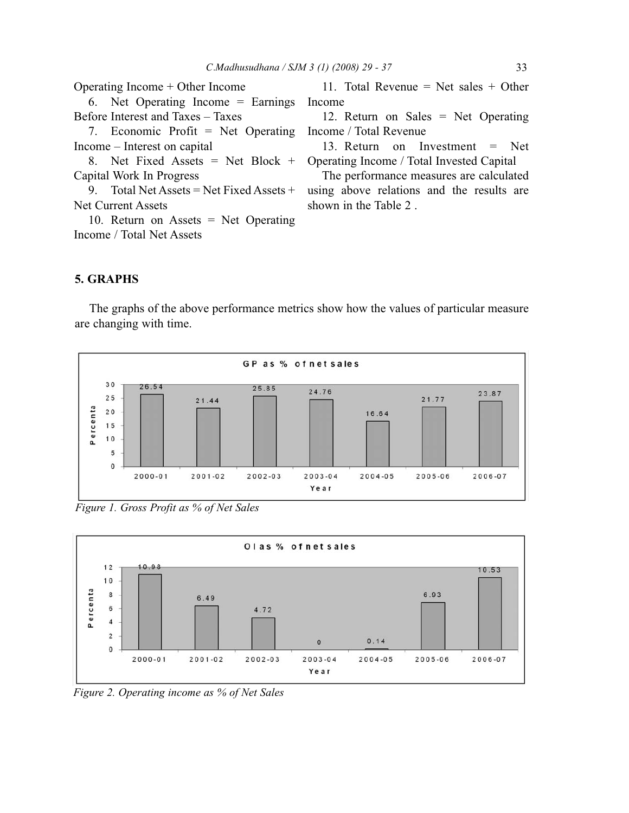| Operating Income $+$ Other Income        | 11. Total Revenue = Net sales + Other                                       |  |  |  |  |
|------------------------------------------|-----------------------------------------------------------------------------|--|--|--|--|
| 6. Net Operating Income $=$ Earnings     | Income                                                                      |  |  |  |  |
| Before Interest and Taxes – Taxes        | 12. Return on Sales $=$ Net Operating                                       |  |  |  |  |
| 7. Economic Profit $=$ Net Operating     | Income / Total Revenue                                                      |  |  |  |  |
| Income – Interest on capital             | 13. Return on Investment $=$ Net                                            |  |  |  |  |
|                                          | 8. Net Fixed Assets = Net Block + Operating Income / Total Invested Capital |  |  |  |  |
| Capital Work In Progress                 | The performance measures are calculated                                     |  |  |  |  |
| 9. Total Net Assets = Net Fixed Assets + | using above relations and the results are                                   |  |  |  |  |
| <b>Net Current Assets</b>                | shown in the Table 2.                                                       |  |  |  |  |
| 10. Return on Assets $=$ Net Operating   |                                                                             |  |  |  |  |
| Income / Total Net Assets                |                                                                             |  |  |  |  |
|                                          |                                                                             |  |  |  |  |

# **5. GRAPHS**

The graphs of the above performance metrics show how the values of particular measure are changing with time.



*Figure 1. Gross Profit as % of Net Sales*



*Figure 2. Operating income as % of Net Sales*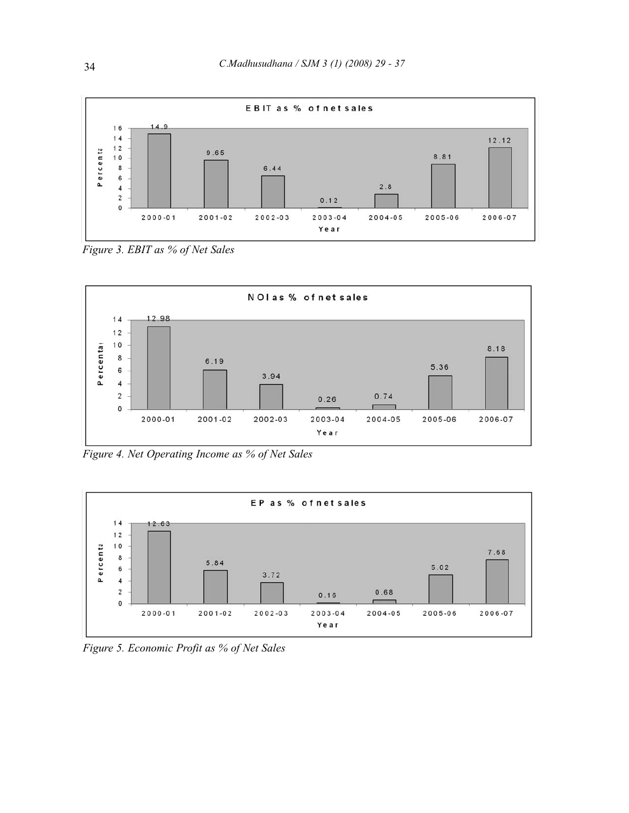

*Figure 3. EBIT as % of Net Sales*



*Figure 4. Net Operating Income as % of Net Sales*



*Figure 5. Economic Profit as % of Net Sales*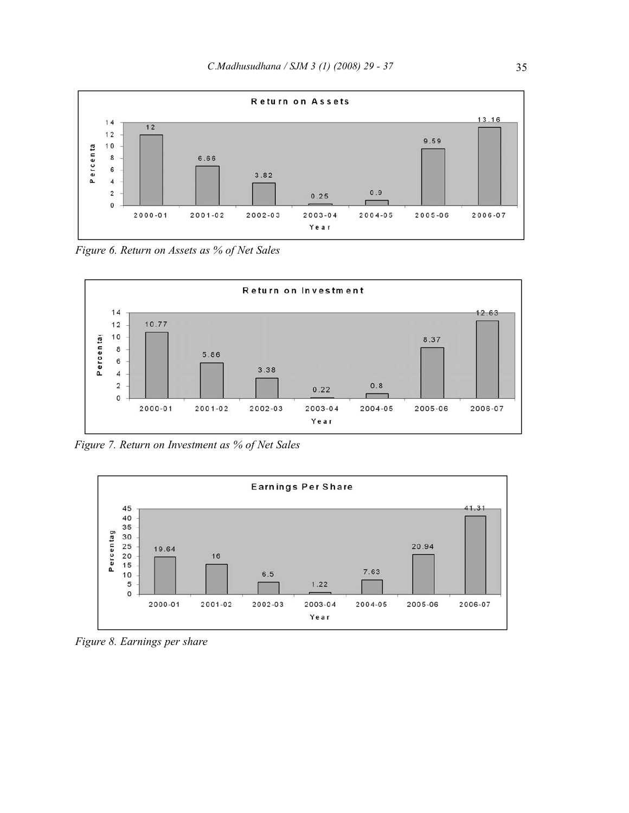

*Figure 6. Return on Assets as % of Net Sales*



*Figure 7. Return on Investment as % of Net Sales*



*Figure 8. Earnings per share*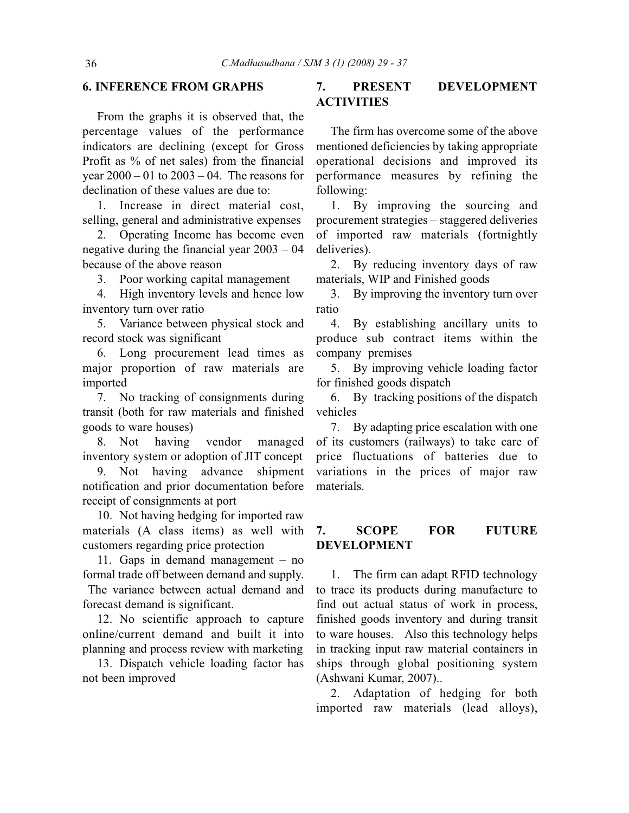### **6. INFERENCE FROM GRAPHS**

From the graphs it is observed that, the percentage values of the performance indicators are declining (except for Gross Profit as % of net sales) from the financial year  $2000 - 01$  to  $2003 - 04$ . The reasons for declination of these values are due to:

1. Increase in direct material cost, selling, general and administrative expenses

2. Operating Income has become even negative during the financial year 2003 – 04 because of the above reason

3. Poor working capital management

4. High inventory levels and hence low inventory turn over ratio

5. Variance between physical stock and record stock was significant

6. Long procurement lead times as major proportion of raw materials are imported

7. No tracking of consignments during transit (both for raw materials and finished goods to ware houses)

8. Not having vendor managed inventory system or adoption of JIT concept

9. Not having advance shipment notification and prior documentation before receipt of consignments at port

10. Not having hedging for imported raw materials (A class items) as well with customers regarding price protection

11. Gaps in demand management – no formal trade off between demand and supply. The variance between actual demand and forecast demand is significant.

12. No scientific approach to capture online/current demand and built it into planning and process review with marketing

13. Dispatch vehicle loading factor has not been improved

## **7. PRESENT DEVELOPMENT ACTIVITIES**

The firm has overcome some of the above mentioned deficiencies by taking appropriate operational decisions and improved its performance measures by refining the following:

1. By improving the sourcing and procurement strategies – staggered deliveries of imported raw materials (fortnightly deliveries).

2. By reducing inventory days of raw materials, WIP and Finished goods

3. By improving the inventory turn over ratio

4. By establishing ancillary units to produce sub contract items within the company premises

5. By improving vehicle loading factor for finished goods dispatch

6. By tracking positions of the dispatch vehicles

7. By adapting price escalation with one of its customers (railways) to take care of price fluctuations of batteries due to variations in the prices of major raw materials.

### **7. SCOPE FOR FUTURE DEVELOPMENT**

1. The firm can adapt RFID technology to trace its products during manufacture to find out actual status of work in process, finished goods inventory and during transit to ware houses. Also this technology helps in tracking input raw material containers in ships through global positioning system (Ashwani Kumar, 2007)..

2. Adaptation of hedging for both imported raw materials (lead alloys),